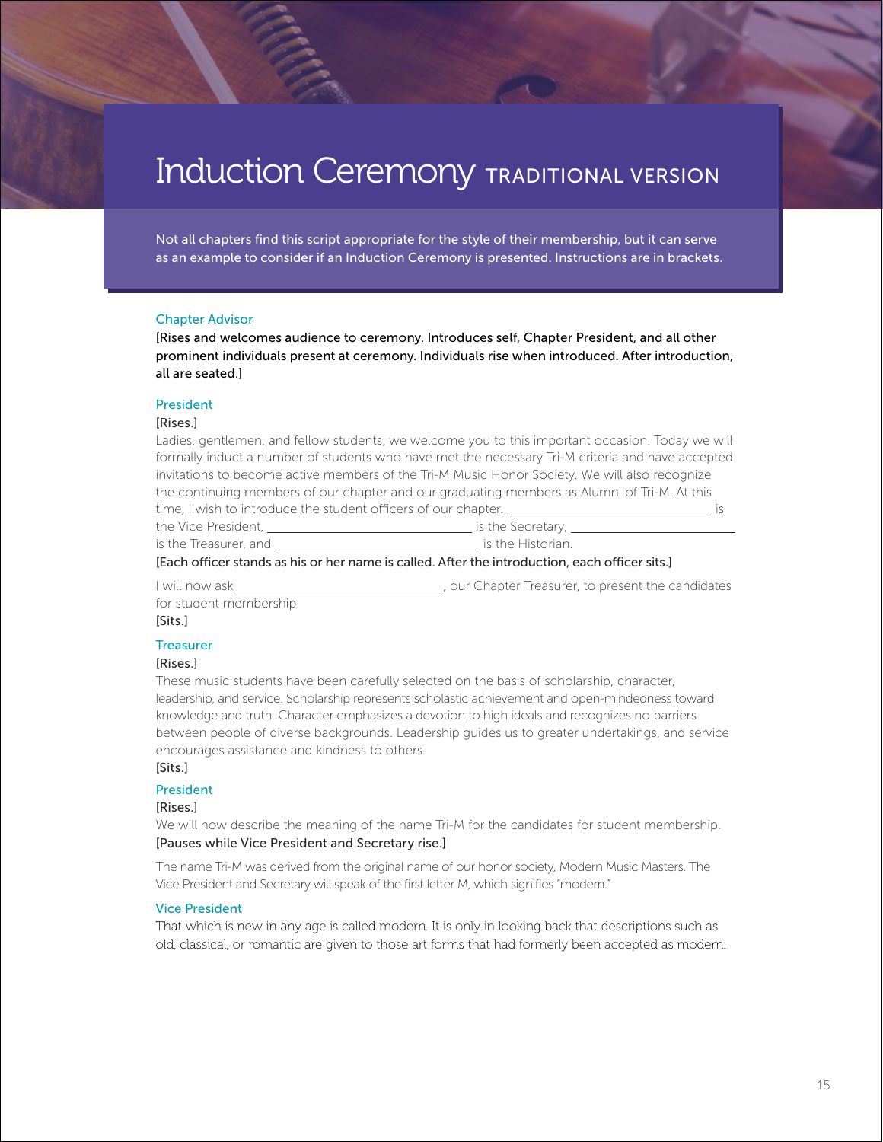# Induction Ceremony TRADITIONAL VERSION

Not all chapters find this script appropriate for the style of their membership, but it can serve as an example to consider if an Induction Ceremony is presented. Instructions are in brackets.

#### Chapter Advisor

[Rises and welcomes audience to ceremony. Introduces self, Chapter President, and all other prominent individuals present at ceremony. Individuals rise when introduced. After introduction, all are seated.]

#### President

#### [Rises.]

Ladies, gentlemen, and fellow students, we welcome you to this important occasion. Today we will formally induct a number of students who have met the necessary Tri-M criteria and have accepted invitations to become active members of the Tri-M Music Honor Society. We will also recognize the continuing members of our chapter and our graduating members as Alumni of Tri-M. At this time, I wish to introduce the student officers of our chapter. **is** is

the Vice President, is the Secretary, is the Treasurer, and is the Historian.

[Each officer stands as his or her name is called. After the introduction, each officer sits.]

I will now ask \_\_\_\_\_\_\_\_\_\_\_\_\_\_\_\_\_\_\_\_\_\_\_\_\_\_\_\_\_\_\_\_\_, our Chapter Treasurer, to present the candidates for student membership.

#### [Sits.]

#### **Treasurer**

#### [Rises.]

These music students have been carefully selected on the basis of scholarship, character, leadership, and service. Scholarship represents scholastic achievement and open-mindedness toward knowledge and truth. Character emphasizes a devotion to high ideals and recognizes no barriers between people of diverse backgrounds. Leadership guides us to greater undertakings, and service encourages assistance and kindness to others.

#### [Sits.]

#### President

#### [Rises.]

We will now describe the meaning of the name Tri-M for the candidates for student membership. [Pauses while Vice President and Secretary rise.]

The name Tri-M was derived from the original name of our honor society, Modern Music Masters. The Vice President and Secretary will speak of the first letter M, which signifies "modern."

#### Vice President

That which is new in any age is called modern. It is only in looking back that descriptions such as old, classical, or romantic are given to those art forms that had formerly been accepted as modern.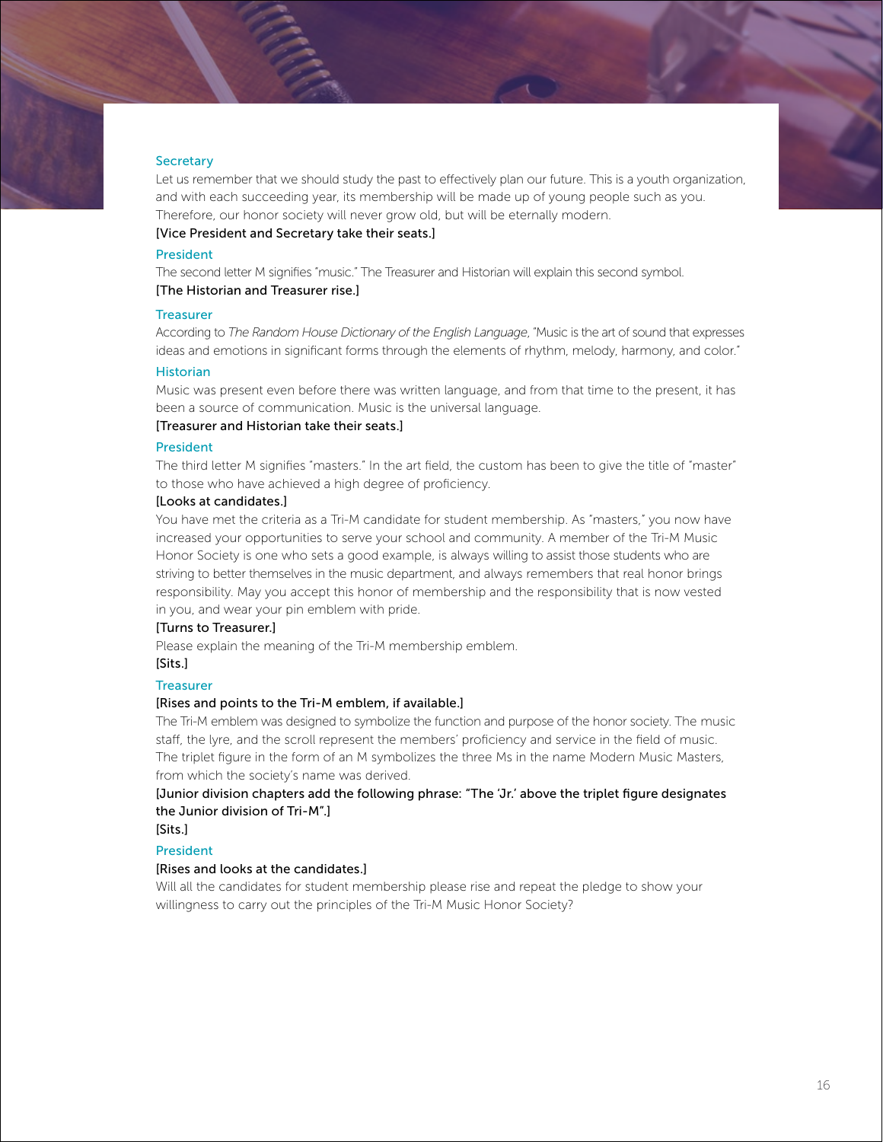#### **Secretary**

Let us remember that we should study the past to effectively plan our future. This is a youth organization, and with each succeeding year, its membership will be made up of young people such as you. Therefore, our honor society will never grow old, but will be eternally modern.

#### [Vice President and Secretary take their seats.]

# President

The second letter M signifies "music." The Treasurer and Historian will explain this second symbol.

# [The Historian and Treasurer rise.]

#### **Treasurer**

According to *The Random House Dictionary of the English Language*, "Music is the art of sound that expresses ideas and emotions in significant forms through the elements of rhythm, melody, harmony, and color."

# Historian

Music was present even before there was written language, and from that time to the present, it has been a source of communication. Music is the universal language.

#### [Treasurer and Historian take their seats.]

#### President

The third letter M signifies "masters." In the art field, the custom has been to give the title of "master" to those who have achieved a high degree of proficiency.

#### [Looks at candidates.]

You have met the criteria as a Tri-M candidate for student membership. As "masters," you now have increased your opportunities to serve your school and community. A member of the Tri-M Music Honor Society is one who sets a good example, is always willing to assist those students who are striving to better themselves in the music department, and always remembers that real honor brings responsibility. May you accept this honor of membership and the responsibility that is now vested in you, and wear your pin emblem with pride.

#### [Turns to Treasurer.]

Please explain the meaning of the Tri-M membership emblem.

# [Sits.]

# **Treasurer**

# [Rises and points to the Tri-M emblem, if available.]

The Tri-M emblem was designed to symbolize the function and purpose of the honor society. The music staff, the lyre, and the scroll represent the members' proficiency and service in the field of music. The triplet figure in the form of an M symbolizes the three Ms in the name Modern Music Masters, from which the society's name was derived.

[Junior division chapters add the following phrase: "The 'Jr.' above the triplet figure designates the Junior division of Tri-M".]

# [Sits.] President

# [Rises and looks at the candidates.]

Will all the candidates for student membership please rise and repeat the pledge to show your willingness to carry out the principles of the Tri-M Music Honor Society?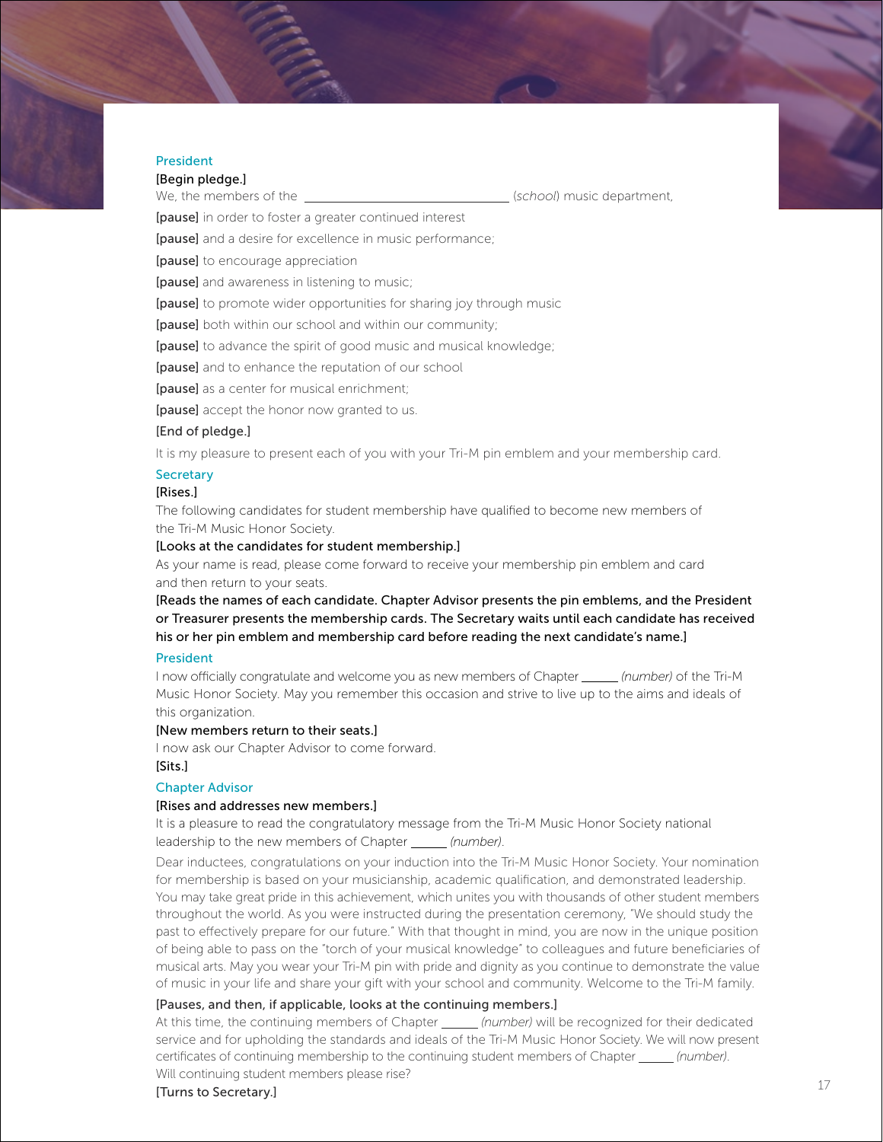#### President

# [Begin pledge.]

We, the members of the (*school*) music department,

[pause] in order to foster a greater continued interest

[pause] and a desire for excellence in music performance;

[pause] to encourage appreciation

[pause] and awareness in listening to music;

[pause] to promote wider opportunities for sharing joy through music

[pause] both within our school and within our community;

[pause] to advance the spirit of good music and musical knowledge;

[pause] and to enhance the reputation of our school

[pause] as a center for musical enrichment;

[pause] accept the honor now granted to us.

#### [End of pledge.]

It is my pleasure to present each of you with your Tri-M pin emblem and your membership card.

#### **Secretary**

#### [Rises.]

The following candidates for student membership have qualified to become new members of the Tri-M Music Honor Society.

#### [Looks at the candidates for student membership.]

As your name is read, please come forward to receive your membership pin emblem and card and then return to your seats.

[Reads the names of each candidate. Chapter Advisor presents the pin emblems, and the President or Treasurer presents the membership cards. The Secretary waits until each candidate has received his or her pin emblem and membership card before reading the next candidate's name.]

#### President

I now officially congratulate and welcome you as new members of Chapter *(number)* of the Tri-M Music Honor Society. May you remember this occasion and strive to live up to the aims and ideals of this organization.

# [New members return to their seats.]

I now ask our Chapter Advisor to come forward. [Sits.]

#### Chapter Advisor

#### [Rises and addresses new members.]

It is a pleasure to read the congratulatory message from the Tri-M Music Honor Society national leadership to the new members of Chapter *(number)*.

Dear inductees, congratulations on your induction into the Tri-M Music Honor Society. Your nomination for membership is based on your musicianship, academic qualification, and demonstrated leadership. You may take great pride in this achievement, which unites you with thousands of other student members throughout the world. As you were instructed during the presentation ceremony, "We should study the past to effectively prepare for our future." With that thought in mind, you are now in the unique position of being able to pass on the "torch of your musical knowledge" to colleagues and future beneficiaries of musical arts. May you wear your Tri-M pin with pride and dignity as you continue to demonstrate the value of music in your life and share your gift with your school and community. Welcome to the Tri-M family.

#### [Pauses, and then, if applicable, looks at the continuing members.]

At this time, the continuing members of Chapter *(number)* will be recognized for their dedicated service and for upholding the standards and ideals of the Tri-M Music Honor Society. We will now present certificates of continuing membership to the continuing student members of Chapter *(number)*. Will continuing student members please rise?

#### [Turns to Secretary.]